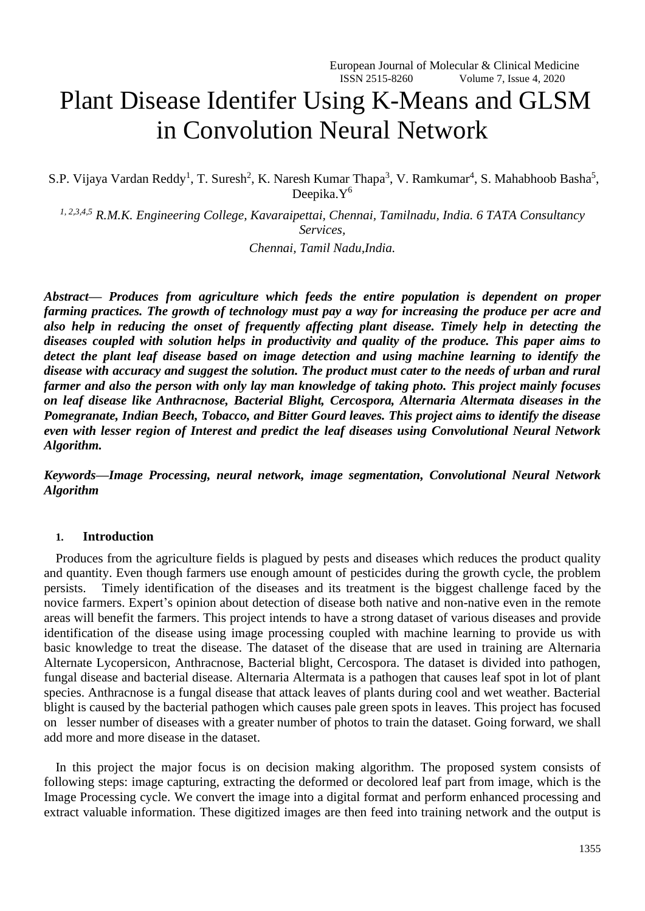# Plant Disease Identifer Using K-Means and GLSM in Convolution Neural Network

S.P. Vijaya Vardan Reddy<sup>1</sup>, T. Suresh<sup>2</sup>, K. Naresh Kumar Thapa<sup>3</sup>, V. Ramkumar<sup>4</sup>, S. Mahabhoob Basha<sup>5</sup>, Deepika.Y<sup>6</sup>

*1, 2,3,4,5 R.M.K. Engineering College, Kavaraipettai, Chennai, Tamilnadu, India. 6 TATA Consultancy Services,*

*Chennai, Tamil Nadu,India.*

*Abstract— Produces from agriculture which feeds the entire population is dependent on proper farming practices. The growth of technology must pay a way for increasing the produce per acre and also help in reducing the onset of frequently affecting plant disease. Timely help in detecting the diseases coupled with solution helps in productivity and quality of the produce. This paper aims to detect the plant leaf disease based on image detection and using machine learning to identify the disease with accuracy and suggest the solution. The product must cater to the needs of urban and rural farmer and also the person with only lay man knowledge of taking photo. This project mainly focuses on leaf disease like Anthracnose, Bacterial Blight, Cercospora, Alternaria Altermata diseases in the Pomegranate, Indian Beech, Tobacco, and Bitter Gourd leaves. This project aims to identify the disease even with lesser region of Interest and predict the leaf diseases using Convolutional Neural Network Algorithm.* 

*Keywords—Image Processing, neural network, image segmentation, Convolutional Neural Network Algorithm*

#### **1. Introduction**

Produces from the agriculture fields is plagued by pests and diseases which reduces the product quality and quantity. Even though farmers use enough amount of pesticides during the growth cycle, the problem persists. Timely identification of the diseases and its treatment is the biggest challenge faced by the novice farmers. Expert's opinion about detection of disease both native and non-native even in the remote areas will benefit the farmers. This project intends to have a strong dataset of various diseases and provide identification of the disease using image processing coupled with machine learning to provide us with basic knowledge to treat the disease. The dataset of the disease that are used in training are Alternaria Alternate Lycopersicon, Anthracnose, Bacterial blight, Cercospora. The dataset is divided into pathogen, fungal disease and bacterial disease. Alternaria Altermata is a pathogen that causes leaf spot in lot of plant species. Anthracnose is a fungal disease that attack leaves of plants during cool and wet weather. Bacterial blight is caused by the bacterial pathogen which causes pale green spots in leaves. This project has focused on lesser number of diseases with a greater number of photos to train the dataset. Going forward, we shall add more and more disease in the dataset.

In this project the major focus is on decision making algorithm. The proposed system consists of following steps: image capturing, extracting the deformed or decolored leaf part from image, which is the Image Processing cycle. We convert the image into a digital format and perform enhanced processing and extract valuable information. These digitized images are then feed into training network and the output is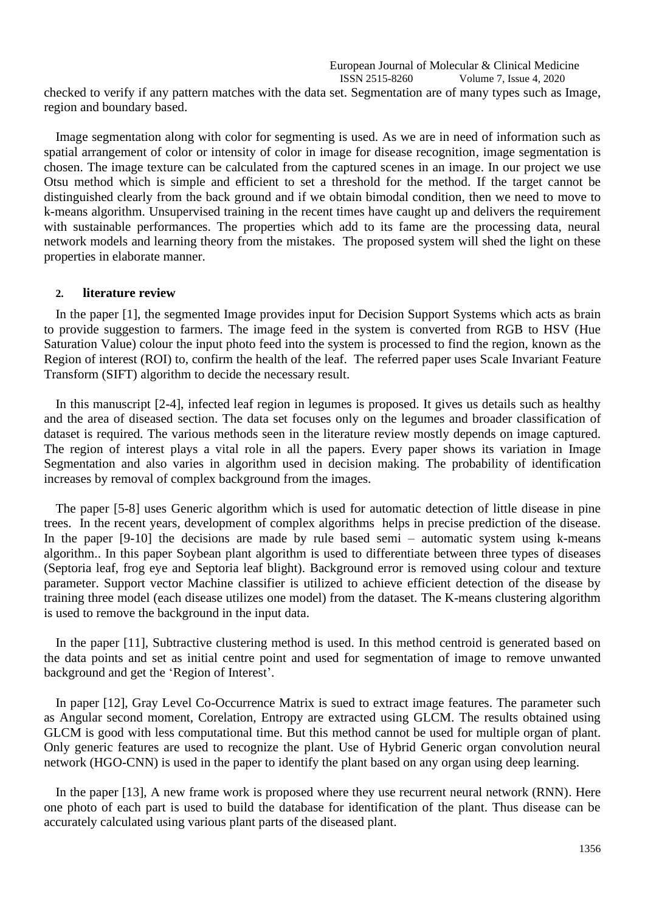European Journal of Molecular & Clinical Medicine ISSN 2515-8260 Volume 7, Issue 4, 2020

checked to verify if any pattern matches with the data set. Segmentation are of many types such as Image, region and boundary based.

Image segmentation along with color for segmenting is used. As we are in need of information such as spatial arrangement of color or intensity of color in image for disease recognition, image segmentation is chosen. The image texture can be calculated from the captured scenes in an image. In our project we use Otsu method which is simple and efficient to set a threshold for the method. If the target cannot be distinguished clearly from the back ground and if we obtain bimodal condition, then we need to move to k-means algorithm. Unsupervised training in the recent times have caught up and delivers the requirement with sustainable performances. The properties which add to its fame are the processing data, neural network models and learning theory from the mistakes. The proposed system will shed the light on these properties in elaborate manner.

#### **2. literature review**

In the paper [1], the segmented Image provides input for Decision Support Systems which acts as brain to provide suggestion to farmers. The image feed in the system is converted from RGB to HSV (Hue Saturation Value) colour the input photo feed into the system is processed to find the region, known as the Region of interest (ROI) to, confirm the health of the leaf. The referred paper uses Scale Invariant Feature Transform (SIFT) algorithm to decide the necessary result.

In this manuscript [2-4], infected leaf region in legumes is proposed. It gives us details such as healthy and the area of diseased section. The data set focuses only on the legumes and broader classification of dataset is required. The various methods seen in the literature review mostly depends on image captured. The region of interest plays a vital role in all the papers. Every paper shows its variation in Image Segmentation and also varies in algorithm used in decision making. The probability of identification increases by removal of complex background from the images.

The paper [5-8] uses Generic algorithm which is used for automatic detection of little disease in pine trees. In the recent years, development of complex algorithms helps in precise prediction of the disease. In the paper [9-10] the decisions are made by rule based semi – automatic system using k-means algorithm.. In this paper Soybean plant algorithm is used to differentiate between three types of diseases (Septoria leaf, frog eye and Septoria leaf blight). Background error is removed using colour and texture parameter. Support vector Machine classifier is utilized to achieve efficient detection of the disease by training three model (each disease utilizes one model) from the dataset. The K-means clustering algorithm is used to remove the background in the input data.

In the paper [11], Subtractive clustering method is used. In this method centroid is generated based on the data points and set as initial centre point and used for segmentation of image to remove unwanted background and get the 'Region of Interest'.

In paper [12], Gray Level Co-Occurrence Matrix is sued to extract image features. The parameter such as Angular second moment, Corelation, Entropy are extracted using GLCM. The results obtained using GLCM is good with less computational time. But this method cannot be used for multiple organ of plant. Only generic features are used to recognize the plant. Use of Hybrid Generic organ convolution neural network (HGO-CNN) is used in the paper to identify the plant based on any organ using deep learning.

In the paper [13], A new frame work is proposed where they use recurrent neural network (RNN). Here one photo of each part is used to build the database for identification of the plant. Thus disease can be accurately calculated using various plant parts of the diseased plant.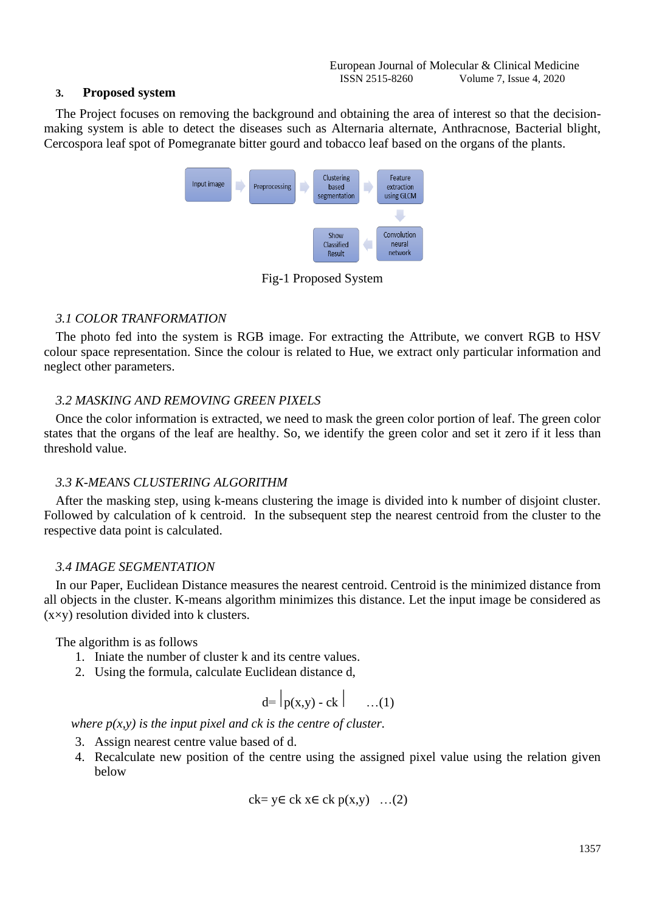#### **3. Proposed system**

The Project focuses on removing the background and obtaining the area of interest so that the decisionmaking system is able to detect the diseases such as Alternaria alternate, Anthracnose, Bacterial blight, Cercospora leaf spot of Pomegranate bitter gourd and tobacco leaf based on the organs of the plants.



Fig-1 Proposed System

## *3.1 COLOR TRANFORMATION*

The photo fed into the system is RGB image. For extracting the Attribute, we convert RGB to HSV colour space representation. Since the colour is related to Hue, we extract only particular information and neglect other parameters.

#### *3.2 MASKING AND REMOVING GREEN PIXELS*

Once the color information is extracted, we need to mask the green color portion of leaf. The green color states that the organs of the leaf are healthy. So, we identify the green color and set it zero if it less than threshold value.

#### *3.3 K-MEANS CLUSTERING ALGORITHM*

After the masking step, using k-means clustering the image is divided into k number of disjoint cluster. Followed by calculation of k centroid. In the subsequent step the nearest centroid from the cluster to the respective data point is calculated.

## *3.4 IMAGE SEGMENTATION*

In our Paper, Euclidean Distance measures the nearest centroid. Centroid is the minimized distance from all objects in the cluster. K-means algorithm minimizes this distance. Let the input image be considered as (x×y) resolution divided into k clusters.

The algorithm is as follows

- 1. Iniate the number of cluster k and its centre values.
- 2. Using the formula, calculate Euclidean distance d,

$$
d = |p(x,y) - ck| \qquad \dots (1)
$$

*where*  $p(x, y)$  *is the input pixel and ck is the centre of cluster.* 

- 3. Assign nearest centre value based of d.
- 4. Recalculate new position of the centre using the assigned pixel value using the relation given below

$$
ck = y \in ck \times \in ck \ p(x,y) \ \ldots(2)
$$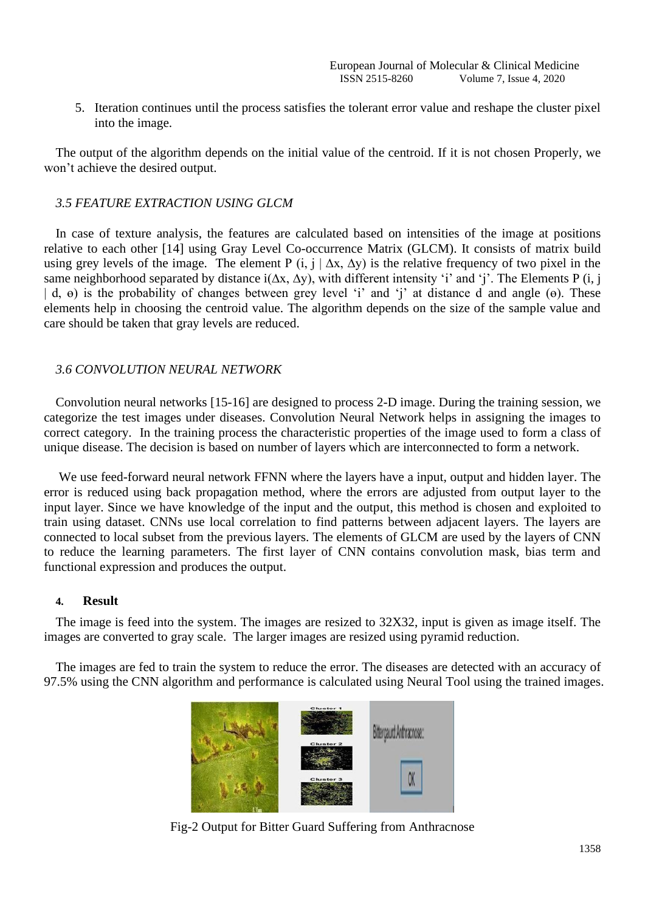5. Iteration continues until the process satisfies the tolerant error value and reshape the cluster pixel into the image.

The output of the algorithm depends on the initial value of the centroid. If it is not chosen Properly, we won't achieve the desired output.

### *3.5 FEATURE EXTRACTION USING GLCM*

In case of texture analysis, the features are calculated based on intensities of the image at positions relative to each other [14] using Gray Level Co-occurrence Matrix (GLCM). It consists of matrix build using grey levels of the image. The element P  $(i, j | \Delta x, \Delta y)$  is the relative frequency of two pixel in the same neighborhood separated by distance i(Δx, Δy), with different intensity 'i' and 'j'. The Elements P (i, j | d, ө) is the probability of changes between grey level 'i' and 'j' at distance d and angle (ө). These elements help in choosing the centroid value. The algorithm depends on the size of the sample value and care should be taken that gray levels are reduced.

#### *3.6 CONVOLUTION NEURAL NETWORK*

Convolution neural networks [15-16] are designed to process 2-D image. During the training session, we categorize the test images under diseases. Convolution Neural Network helps in assigning the images to correct category. In the training process the characteristic properties of the image used to form a class of unique disease. The decision is based on number of layers which are interconnected to form a network.

We use feed-forward neural network FFNN where the layers have a input, output and hidden layer. The error is reduced using back propagation method, where the errors are adjusted from output layer to the input layer. Since we have knowledge of the input and the output, this method is chosen and exploited to train using dataset. CNNs use local correlation to find patterns between adjacent layers. The layers are connected to local subset from the previous layers. The elements of GLCM are used by the layers of CNN to reduce the learning parameters. The first layer of CNN contains convolution mask, bias term and functional expression and produces the output.

#### **4. Result**

The image is feed into the system. The images are resized to 32X32, input is given as image itself. The images are converted to gray scale. The larger images are resized using pyramid reduction.

The images are fed to train the system to reduce the error. The diseases are detected with an accuracy of 97.5% using the CNN algorithm and performance is calculated using Neural Tool using the trained images.



Fig-2 Output for Bitter Guard Suffering from Anthracnose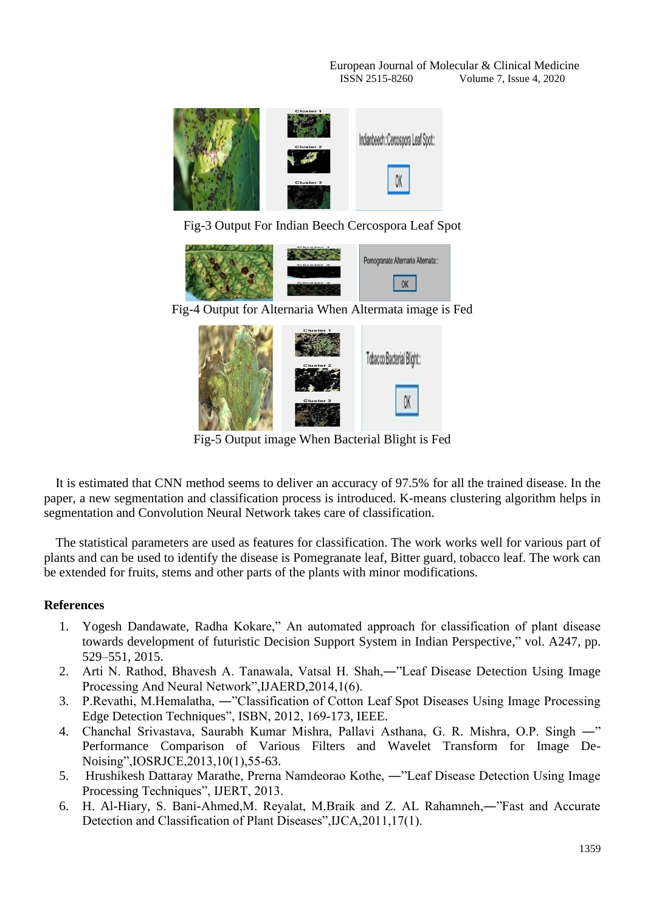European Journal of Molecular & Clinical Medicine ISSN 2515-8260 Volume 7, Issue 4, 2020



Fig-3 Output For Indian Beech Cercospora Leaf Spot



Fig-4 Output for Alternaria When Altermata image is Fed



Fig-5 Output image When Bacterial Blight is Fed

It is estimated that CNN method seems to deliver an accuracy of 97.5% for all the trained disease. In the paper, a new segmentation and classification process is introduced. K-means clustering algorithm helps in segmentation and Convolution Neural Network takes care of classification.

The statistical parameters are used as features for classification. The work works well for various part of plants and can be used to identify the disease is Pomegranate leaf, Bitter guard, tobacco leaf. The work can be extended for fruits, stems and other parts of the plants with minor modifications.

## **References**

- 1. Yogesh Dandawate, Radha Kokare," An automated approach for classification of plant disease towards development of futuristic Decision Support System in Indian Perspective," vol. A247, pp. 529–551, 2015.
- 2. Arti N. Rathod, Bhavesh A. Tanawala, Vatsal H. Shah,―"Leaf Disease Detection Using Image Processing And Neural Network",IJAERD,2014,1(6).
- 3. P.Revathi, M.Hemalatha, ―"Classification of Cotton Leaf Spot Diseases Using Image Processing Edge Detection Techniques", ISBN, 2012, 169-173, IEEE.
- 4. Chanchal Srivastava, Saurabh Kumar Mishra, Pallavi Asthana, G. R. Mishra, O.P. Singh ―" Performance Comparison of Various Filters and Wavelet Transform for Image De-Noising",IOSRJCE,2013,10(1),55-63.
- 5. Hrushikesh Dattaray Marathe, Prerna Namdeorao Kothe, ―"Leaf Disease Detection Using Image Processing Techniques", IJERT, 2013.
- 6. H. Al-Hiary, S. Bani-Ahmed,M. Reyalat, M.Braik and Z. AL Rahamneh,―"Fast and Accurate Detection and Classification of Plant Diseases",IJCA,2011,17(1).